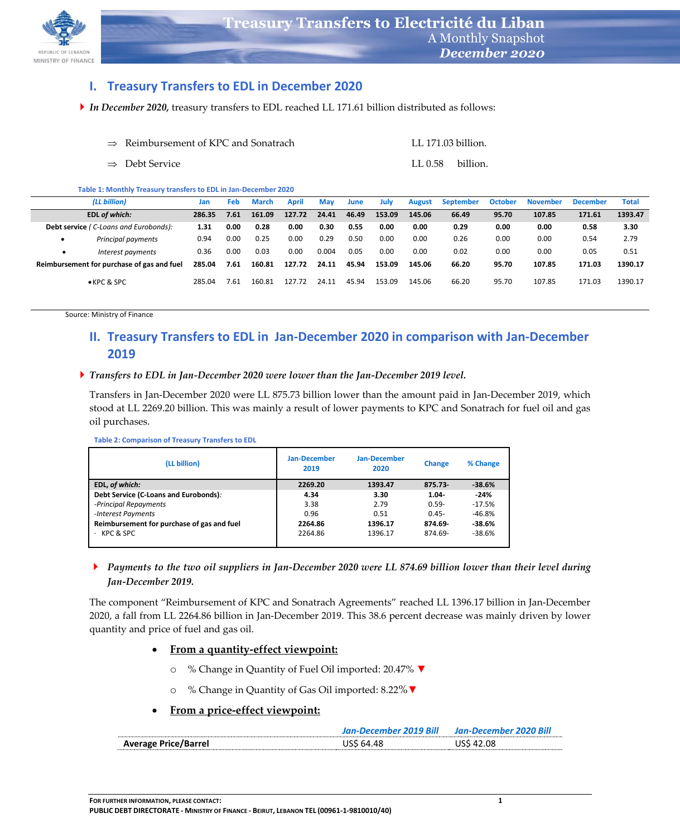

### **I. Treasury Transfers to EDL in December 2020**

*In December 2020,* treasury transfers to EDL reached LL 171.61 billion distributed as follows:

| $\Rightarrow$ Reimbursement of KPC and Sonatrach | LL 171.03 billion. |  |
|--------------------------------------------------|--------------------|--|
| $\Rightarrow$ Debt Service                       | LL 0.58 billion.   |  |

**Table 1: Monthly Treasury transfers to EDL in Jan-December 2020**

|                                            | (LL billion)                          | Jan    | Feb  | <b>March</b> | <b>April</b> | May   | June  | July   | <b>August</b> | <b>September</b> | <b>October</b> | <b>November</b> | <b>December</b> | <b>Total</b> |
|--------------------------------------------|---------------------------------------|--------|------|--------------|--------------|-------|-------|--------|---------------|------------------|----------------|-----------------|-----------------|--------------|
|                                            | EDL of which:                         | 286.35 | 7.61 | 161.09       | 127.72       | 24.41 | 46.49 | 153.09 | 145.06        | 66.49            | 95.70          | 107.85          | 171.61          | 1393.47      |
|                                            | Debt service (C-Loans and Eurobonds): | 1.31   | 0.00 | 0.28         | 0.00         | 0.30  | 0.55  | 0.00   | 0.00          | 0.29             | 0.00           | 0.00            | 0.58            | 3.30         |
|                                            | Principal payments                    | 0.94   | 0.00 | 0.25         | 0.00         | 0.29  | 0.50  | 0.00   | 0.00          | 0.26             | 0.00           | 0.00            | 0.54            | 2.79         |
| $\bullet$                                  | Interest payments                     | 0.36   | 0.00 | 0.03         | 0.00         | 0.004 | 0.05  | 0.00   | 0.00          | 0.02             | 0.00           | 0.00            | 0.05            | 0.51         |
| Reimbursement for purchase of gas and fuel |                                       | 285.04 | 7.61 | 160.81       | 127.72       | 24.11 | 45.94 | 153.09 | 145.06        | 66.20            | 95.70          | 107.85          | 171.03          | 1390.17      |
|                                            | $\bullet$ KPC & SPC                   | 285.04 | 7.61 | 160.81       | 127.72       | 24.11 | 45.94 | 153.09 | 145.06        | 66.20            | 95.70          | 107.85          | 171.03          | 1390.17      |

Source: Ministry of Finance

# **II. Treasury Transfers to EDL in Jan-December 2020 in comparison with Jan-December 2019**

#### *Transfers to EDL in Jan-December 2020 were lower than the Jan-December 2019 level.*

Transfers in Jan-December 2020 were LL 875.73 billion lower than the amount paid in Jan-December 2019, which stood at LL 2269.20 billion. This was mainly a result of lower payments to KPC and Sonatrach for fuel oil and gas oil purchases.

| (LL billion)                               | <b>Jan-December</b><br>2019 | <b>Jan-December</b><br>2020 | <b>Change</b> | % Change |  |
|--------------------------------------------|-----------------------------|-----------------------------|---------------|----------|--|
| EDL, of which:                             | 2269.20                     | 1393.47                     | $875.73 -$    | $-38.6%$ |  |
| Debt Service (C-Loans and Eurobonds).      | 4.34                        | 3.30                        | $1.04 -$      | $-24%$   |  |
| -Principal Repayments                      | 3.38                        | 2.79                        | $0.59 -$      | $-17.5%$ |  |
| -Interest Payments                         | 0.96                        | 0.51                        | $0.45 -$      | $-46.8%$ |  |
| Reimbursement for purchase of gas and fuel | 2264.86                     | 1396.17                     | 874.69-       | -38.6%   |  |
| KPC & SPC                                  | 2264.86                     | 1396.17                     | 874.69-       | $-38.6%$ |  |

### *Payments to the two oil suppliers in Jan-December 2020 were LL 874.69 billion lower than their level during Jan-December 2019.*

The component "Reimbursement of KPC and Sonatrach Agreements" reached LL 1396.17 billion in Jan-December 2020, a fall from LL 2264.86 billion in Jan-December 2019. This 38.6 percent decrease was mainly driven by lower quantity and price of fuel and gas oil.

#### **From a quantity-effect viewpoint:**

- o % Change in Quantity of Fuel Oil imported: 20.47% **▼**
- o % Change in Quantity of Gas Oil imported: 8.22%**▼**

### **From a price-effect viewpoint:**

|                             | Jan-December 2019 Bill | Jan-December 2020 Bill |
|-----------------------------|------------------------|------------------------|
| <b>Average Price/Barrel</b> | USS 64.48              | USS 42.08              |